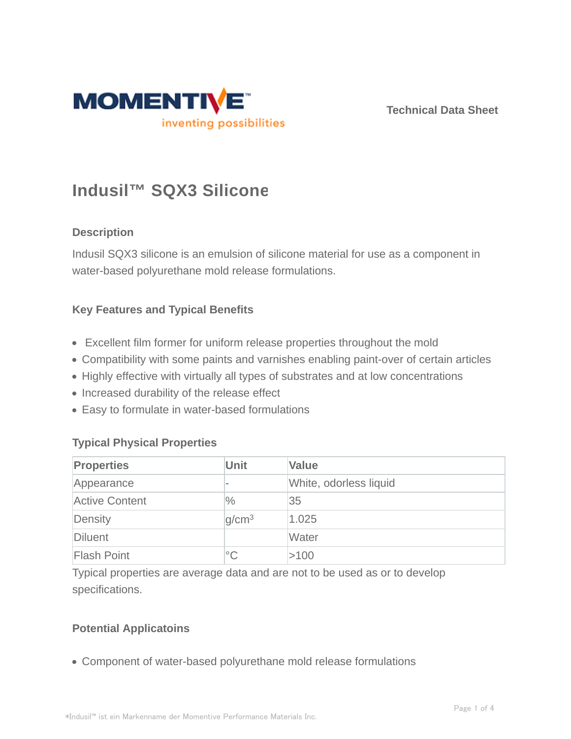

**Technical Data Sheet**

# **Indusil™ SQX3 Silicone**

# **Description**

Indusil SQX3 silicone is an emulsion of silicone material for use as a component in water-based polyurethane mold release formulations.

## **Key Features and Typical Benefits**

- Excellent film former for uniform release properties throughout the mold
- Compatibility with some paints and varnishes enabling paint-over of certain articles
- Highly effective with virtually all types of substrates and at low concentrations
- Increased durability of the release effect
- Easy to formulate in water-based formulations

# **Typical Physical Properties**

| <b>Properties</b>     | <b>Unit</b>       | <b>Value</b>           |
|-----------------------|-------------------|------------------------|
| Appearance            |                   | White, odorless liquid |
| <b>Active Content</b> | $\frac{0}{0}$     | 35                     |
| Density               | q/cm <sup>3</sup> | 1.025                  |
| Diluent               |                   | Water                  |
| <b>Flash Point</b>    | $^{\circ}$ C      | >100                   |

Typical properties are average data and are not to be used as or to develop specifications.

# **Potential Applicatoins**

Component of water-based polyurethane mold release formulations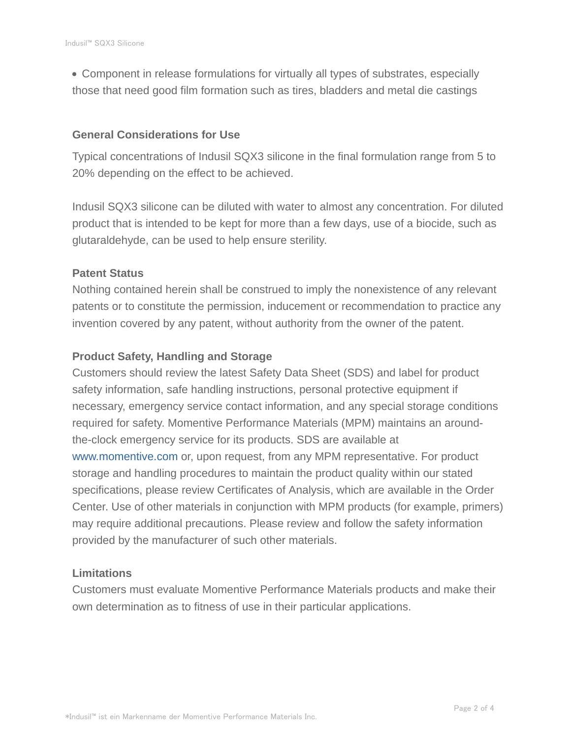Component in release formulations for virtually all types of substrates, especially those that need good film formation such as tires, bladders and metal die castings

#### **General Considerations for Use**

Typical concentrations of Indusil SQX3 silicone in the final formulation range from 5 to 20% depending on the effect to be achieved.

Indusil SQX3 silicone can be diluted with water to almost any concentration. For diluted product that is intended to be kept for more than a few days, use of a biocide, such as glutaraldehyde, can be used to help ensure sterility.

#### **Patent Status**

Nothing contained herein shall be construed to imply the nonexistence of any relevant patents or to constitute the permission, inducement or recommendation to practice any invention covered by any patent, without authority from the owner of the patent.

#### **Product Safety, Handling and Storage**

Customers should review the latest Safety Data Sheet (SDS) and label for product safety information, safe handling instructions, personal protective equipment if necessary, emergency service contact information, and any special storage conditions required for safety. Momentive Performance Materials (MPM) maintains an aroundthe-clock emergency service for its products. SDS are available at www.momentive.com or, upon request, from any MPM representative. For product storage and handling procedures to maintain the product quality within our stated specifications, please review Certificates of Analysis, which are available in the Order Center. Use of other materials in conjunction with MPM products (for example, primers) may require additional precautions. Please review and follow the safety information provided by the manufacturer of such other materials.

#### **Limitations**

Customers must evaluate Momentive Performance Materials products and make their own determination as to fitness of use in their particular applications.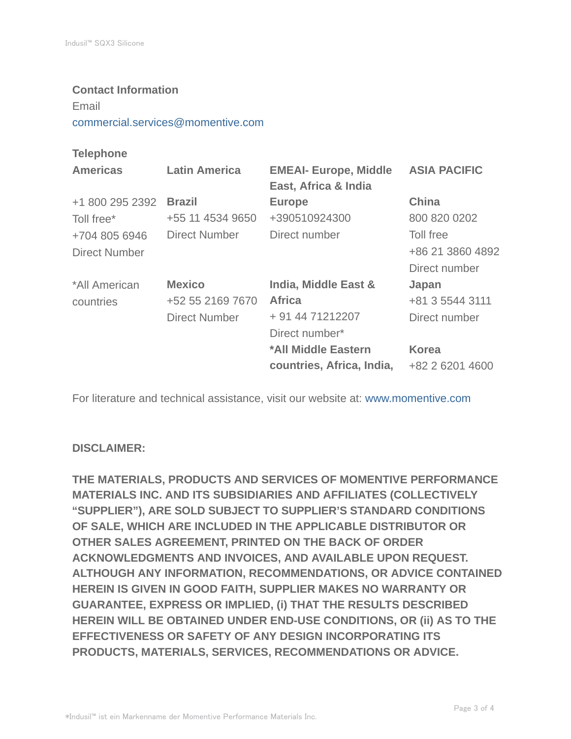#### **Contact Information**

Email

commercial.services@momentive.com

## **Telephone**

| <b>Americas</b> | <b>Latin America</b> | <b>EMEAI- Europe, Middle</b><br>East, Africa & India | <b>ASIA PACIFIC</b> |
|-----------------|----------------------|------------------------------------------------------|---------------------|
| +1 800 295 2392 | <b>Brazil</b>        | <b>Europe</b>                                        | <b>China</b>        |
| Toll free*      | +55 11 4534 9650     | +390510924300                                        | 800 820 0202        |
| +704 805 6946   | Direct Number        | Direct number                                        | Toll free           |
| Direct Number   |                      |                                                      | +86 21 3860 4892    |
|                 |                      |                                                      | Direct number       |
| *All American   | <b>Mexico</b>        | India, Middle East &                                 | Japan               |
| countries       | +52 55 2169 7670     | <b>Africa</b>                                        | +81 3 5544 3111     |
|                 | <b>Direct Number</b> | + 91 44 71212207                                     | Direct number       |
|                 |                      | Direct number*                                       |                     |
|                 |                      | *All Middle Eastern                                  | <b>Korea</b>        |
|                 |                      | countries, Africa, India,                            | +82 2 6201 4600     |

For literature and technical assistance, visit our website at: www.momentive.com

#### **DISCLAIMER:**

**THE MATERIALS, PRODUCTS AND SERVICES OF MOMENTIVE PERFORMANCE MATERIALS INC. AND ITS SUBSIDIARIES AND AFFILIATES (COLLECTIVELY "SUPPLIER"), ARE SOLD SUBJECT TO SUPPLIER'S STANDARD CONDITIONS OF SALE, WHICH ARE INCLUDED IN THE APPLICABLE DISTRIBUTOR OR OTHER SALES AGREEMENT, PRINTED ON THE BACK OF ORDER ACKNOWLEDGMENTS AND INVOICES, AND AVAILABLE UPON REQUEST. ALTHOUGH ANY INFORMATION, RECOMMENDATIONS, OR ADVICE CONTAINED HEREIN IS GIVEN IN GOOD FAITH, SUPPLIER MAKES NO WARRANTY OR GUARANTEE, EXPRESS OR IMPLIED, (i) THAT THE RESULTS DESCRIBED HEREIN WILL BE OBTAINED UNDER END-USE CONDITIONS, OR (ii) AS TO THE EFFECTIVENESS OR SAFETY OF ANY DESIGN INCORPORATING ITS PRODUCTS, MATERIALS, SERVICES, RECOMMENDATIONS OR ADVICE.**